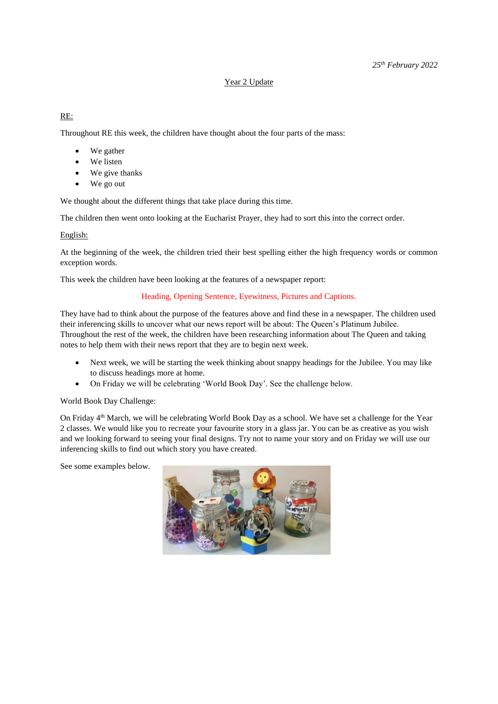## Year 2 Update

RE:

Throughout RE this week, the children have thought about the four parts of the mass:

- We gather
- We listen
- We give thanks
- We go out

We thought about the different things that take place during this time.

The children then went onto looking at the Eucharist Prayer, they had to sort this into the correct order.

## English:

At the beginning of the week, the children tried their best spelling either the high frequency words or common exception words.

This week the children have been looking at the features of a newspaper report:

## Heading, Opening Sentence, Eyewitness, Pictures and Captions.

They have had to think about the purpose of the features above and find these in a newspaper. The children used their inferencing skills to uncover what our news report will be about: The Queen's Platinum Jubilee. Throughout the rest of the week, the children have been researching information about The Queen and taking notes to help them with their news report that they are to begin next week.

- Next week, we will be starting the week thinking about snappy headings for the Jubilee. You may like to discuss headings more at home.
- On Friday we will be celebrating 'World Book Day'. See the challenge below.

## World Book Day Challenge:

On Friday 4<sup>th</sup> March, we will be celebrating World Book Day as a school. We have set a challenge for the Year 2 classes. We would like you to recreate your favourite story in a glass jar. You can be as creative as you wish and we looking forward to seeing your final designs. Try not to name your story and on Friday we will use our inferencing skills to find out which story you have created.

See some examples below.